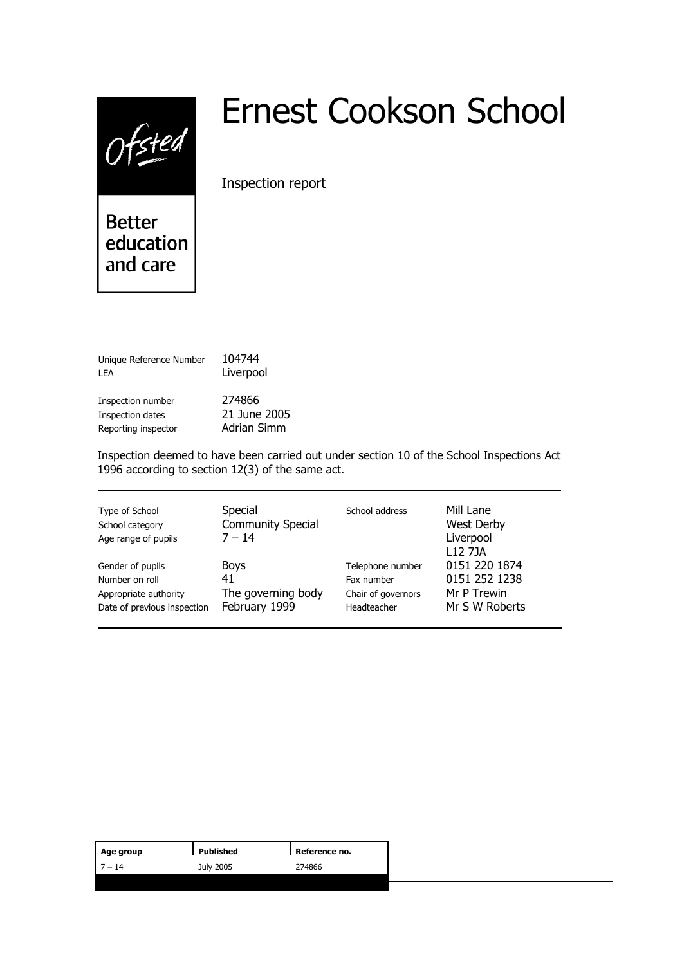$0$ fsted

# Ernest Cookson School

Inspection report

**Better** education and care

| Unique Reference Number | 104744       |  |
|-------------------------|--------------|--|
| I FA                    | Liverpool    |  |
| Inspection number       | 274866       |  |
| Inspection dates        | 21 June 2005 |  |
| Reporting inspector     | Adrian Simm  |  |

Inspection deemed to have been carried out under section 10 of the School Inspections Act 1996 according to section 12(3) of the same act.

| Type of School<br>School category<br>Age range of pupils | Special<br><b>Community Special</b><br>$7 - 14$ | School address     | Mill Lane<br>West Derby<br>Liverpool<br>L <sub>12</sub> 7 <sub>1</sub> A |
|----------------------------------------------------------|-------------------------------------------------|--------------------|--------------------------------------------------------------------------|
| Gender of pupils                                         | <b>Boys</b>                                     | Telephone number   | 0151 220 1874                                                            |
| Number on roll                                           | 41                                              | Fax number         | 0151 252 1238                                                            |
| Appropriate authority                                    | The governing body                              | Chair of governors | Mr P Trewin                                                              |
| Date of previous inspection                              | February 1999                                   | Headteacher        | Mr S W Roberts                                                           |

| Age group | Published | Reference no. |
|-----------|-----------|---------------|
| $-14$     | July 2005 | 274866        |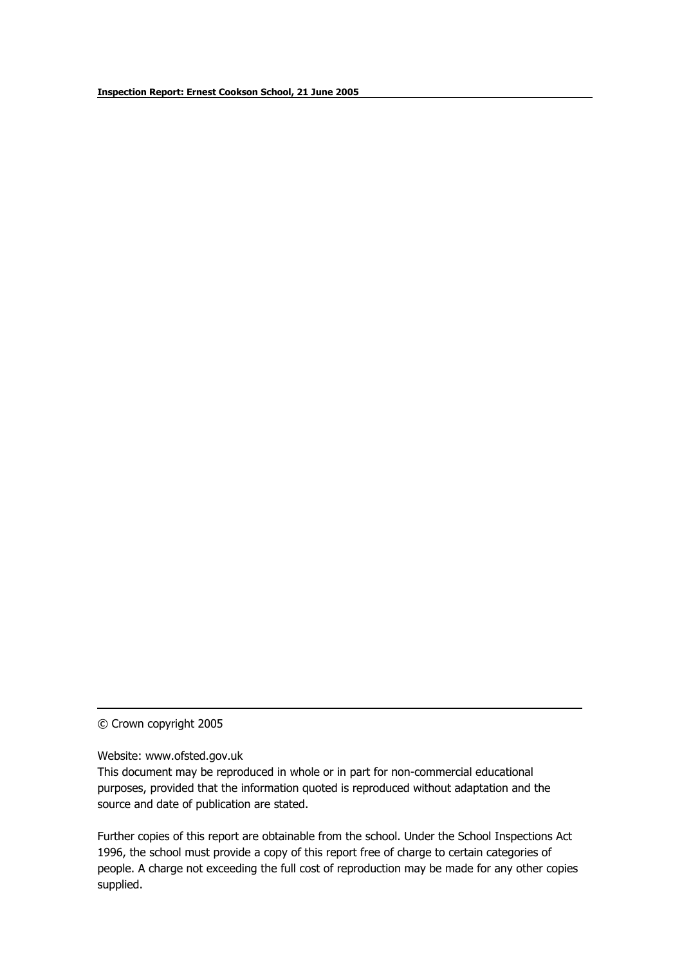© Crown copyright 2005

Website: www.ofsted.gov.uk

This document may be reproduced in whole or in part for non-commercial educational purposes, provided that the information quoted is reproduced without adaptation and the source and date of publication are stated.

Further copies of this report are obtainable from the school. Under the School Inspections Act 1996, the school must provide a copy of this report free of charge to certain categories of people. A charge not exceeding the full cost of reproduction may be made for any other copies supplied.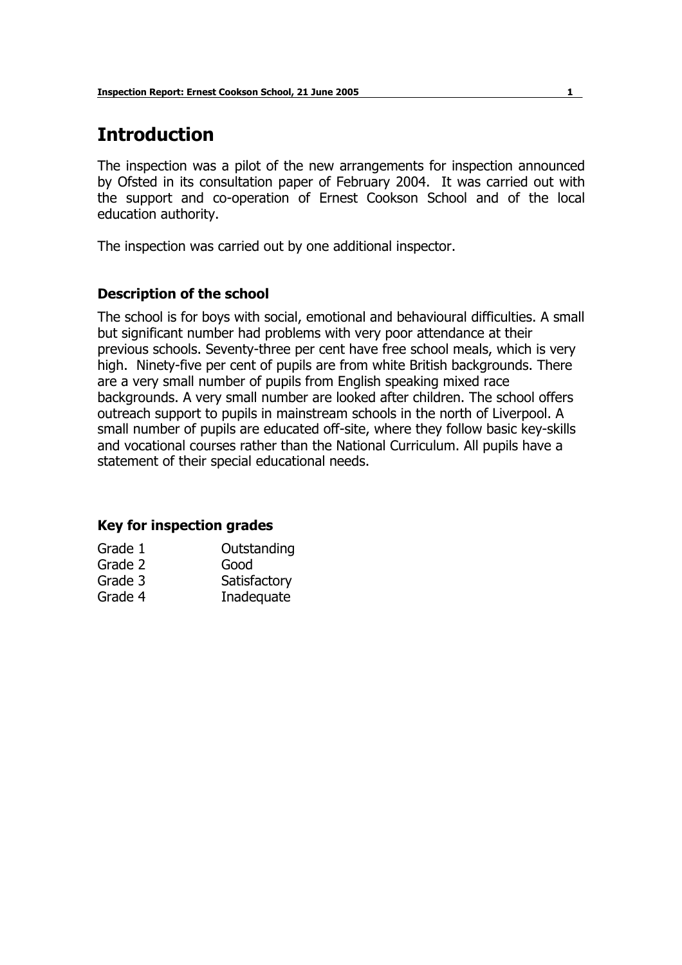# **Introduction**

The inspection was a pilot of the new arrangements for inspection announced by Ofsted in its consultation paper of February 2004. It was carried out with the support and co-operation of Ernest Cookson School and of the local education authority.

The inspection was carried out by one additional inspector.

# **Description of the school**

The school is for boys with social, emotional and behavioural difficulties. A small but significant number had problems with very poor attendance at their previous schools. Seventy-three per cent have free school meals, which is very high. Ninety-five per cent of pupils are from white British backgrounds. There are a very small number of pupils from English speaking mixed race backgrounds. A very small number are looked after children. The school offers outreach support to pupils in mainstream schools in the north of Liverpool. A small number of pupils are educated off-site, where they follow basic key-skills and vocational courses rather than the National Curriculum. All pupils have a statement of their special educational needs.

#### **Key for inspection grades**

| Outstanding  |
|--------------|
| Good         |
| Satisfactory |
| Inadequate   |
|              |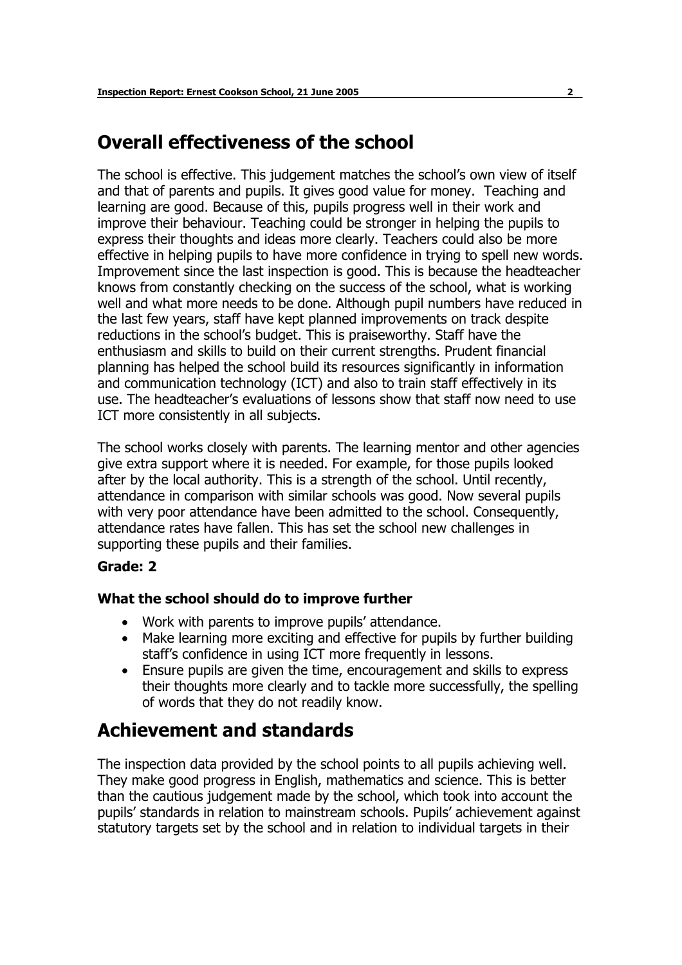# **Overall effectiveness of the school**

The school is effective. This judgement matches the school's own view of itself and that of parents and pupils. It gives good value for money. Teaching and learning are good. Because of this, pupils progress well in their work and improve their behaviour. Teaching could be stronger in helping the pupils to express their thoughts and ideas more clearly. Teachers could also be more effective in helping pupils to have more confidence in trying to spell new words. Improvement since the last inspection is good. This is because the headteacher knows from constantly checking on the success of the school, what is working well and what more needs to be done. Although pupil numbers have reduced in the last few years, staff have kept planned improvements on track despite reductions in the school's budget. This is praiseworthy. Staff have the enthusiasm and skills to build on their current strengths. Prudent financial planning has helped the school build its resources significantly in information and communication technology (ICT) and also to train staff effectively in its use. The headteacherís evaluations of lessons show that staff now need to use ICT more consistently in all subjects.

The school works closely with parents. The learning mentor and other agencies give extra support where it is needed. For example, for those pupils looked after by the local authority. This is a strength of the school. Until recently, attendance in comparison with similar schools was good. Now several pupils with very poor attendance have been admitted to the school. Consequently, attendance rates have fallen. This has set the school new challenges in supporting these pupils and their families.

#### **Grade: 2**

# **What the school should do to improve further**

- Work with parents to improve pupils' attendance.
- Make learning more exciting and effective for pupils by further building staff's confidence in using ICT more frequently in lessons.
- Ensure pupils are given the time, encouragement and skills to express their thoughts more clearly and to tackle more successfully, the spelling of words that they do not readily know.

# **Achievement and standards**

The inspection data provided by the school points to all pupils achieving well. They make good progress in English, mathematics and science. This is better than the cautious judgement made by the school, which took into account the pupils' standards in relation to mainstream schools. Pupils' achievement against statutory targets set by the school and in relation to individual targets in their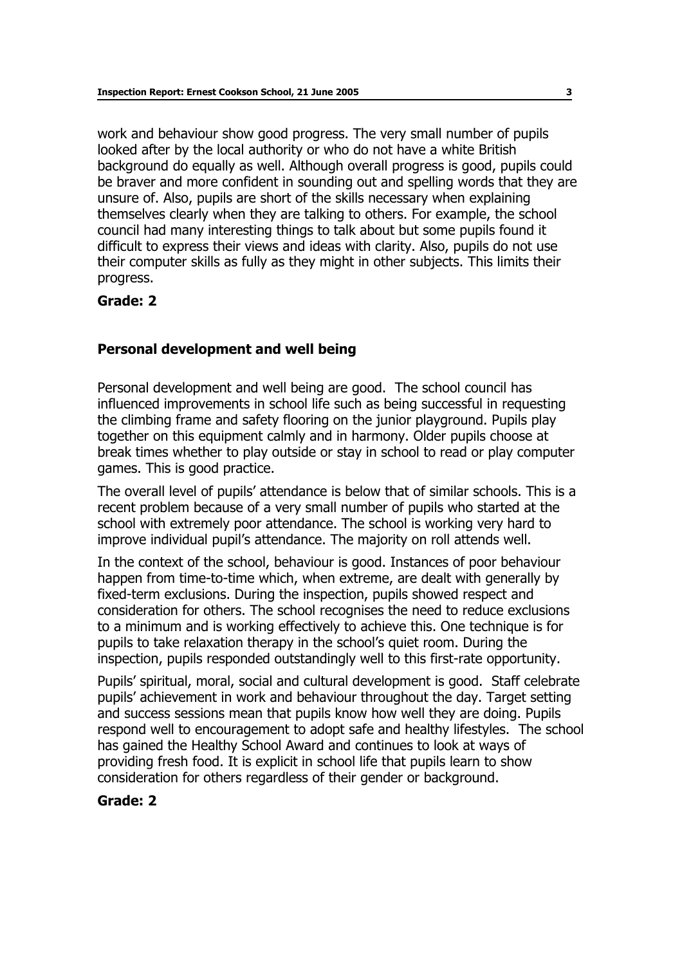work and behaviour show good progress. The very small number of pupils looked after by the local authority or who do not have a white British background do equally as well. Although overall progress is good, pupils could be braver and more confident in sounding out and spelling words that they are unsure of. Also, pupils are short of the skills necessary when explaining themselves clearly when they are talking to others. For example, the school council had many interesting things to talk about but some pupils found it difficult to express their views and ideas with clarity. Also, pupils do not use their computer skills as fully as they might in other subjects. This limits their progress.

#### **Grade: 2**

#### **Personal development and well being**

Personal development and well being are good. The school council has influenced improvements in school life such as being successful in requesting the climbing frame and safety flooring on the junior playground. Pupils play together on this equipment calmly and in harmony. Older pupils choose at break times whether to play outside or stay in school to read or play computer games. This is good practice.

The overall level of pupils' attendance is below that of similar schools. This is a recent problem because of a very small number of pupils who started at the school with extremely poor attendance. The school is working very hard to improve individual pupil's attendance. The majority on roll attends well.

In the context of the school, behaviour is good. Instances of poor behaviour happen from time-to-time which, when extreme, are dealt with generally by fixed-term exclusions. During the inspection, pupils showed respect and consideration for others. The school recognises the need to reduce exclusions to a minimum and is working effectively to achieve this. One technique is for pupils to take relaxation therapy in the schoolís quiet room. During the inspection, pupils responded outstandingly well to this first-rate opportunity.

Pupils' spiritual, moral, social and cultural development is good. Staff celebrate pupils' achievement in work and behaviour throughout the day. Target setting and success sessions mean that pupils know how well they are doing. Pupils respond well to encouragement to adopt safe and healthy lifestyles. The school has gained the Healthy School Award and continues to look at ways of providing fresh food. It is explicit in school life that pupils learn to show consideration for others regardless of their gender or background.

#### **Grade: 2**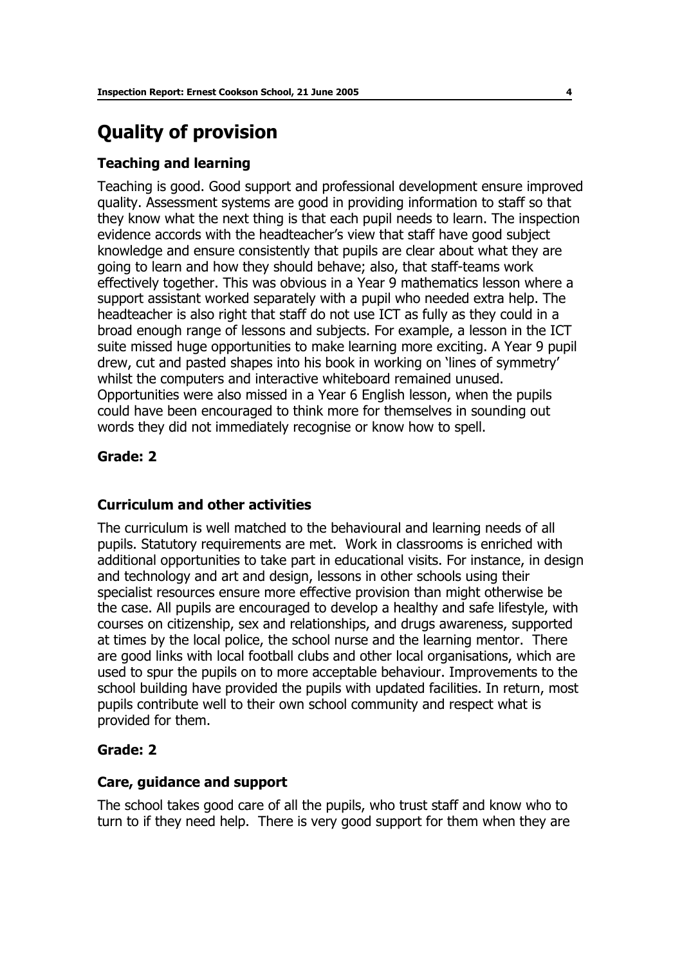# **Quality of provision**

## **Teaching and learning**

Teaching is good. Good support and professional development ensure improved quality. Assessment systems are good in providing information to staff so that they know what the next thing is that each pupil needs to learn. The inspection evidence accords with the headteacher's view that staff have good subject knowledge and ensure consistently that pupils are clear about what they are going to learn and how they should behave; also, that staff-teams work effectively together. This was obvious in a Year 9 mathematics lesson where a support assistant worked separately with a pupil who needed extra help. The headteacher is also right that staff do not use ICT as fully as they could in a broad enough range of lessons and subjects. For example, a lesson in the ICT suite missed huge opportunities to make learning more exciting. A Year 9 pupil drew, cut and pasted shapes into his book in working on 'lines of symmetry' whilst the computers and interactive whiteboard remained unused. Opportunities were also missed in a Year 6 English lesson, when the pupils could have been encouraged to think more for themselves in sounding out words they did not immediately recognise or know how to spell.

#### **Grade: 2**

#### **Curriculum and other activities**

The curriculum is well matched to the behavioural and learning needs of all pupils. Statutory requirements are met. Work in classrooms is enriched with additional opportunities to take part in educational visits. For instance, in design and technology and art and design, lessons in other schools using their specialist resources ensure more effective provision than might otherwise be the case. All pupils are encouraged to develop a healthy and safe lifestyle, with courses on citizenship, sex and relationships, and drugs awareness, supported at times by the local police, the school nurse and the learning mentor. There are good links with local football clubs and other local organisations, which are used to spur the pupils on to more acceptable behaviour. Improvements to the school building have provided the pupils with updated facilities. In return, most pupils contribute well to their own school community and respect what is provided for them.

#### **Grade: 2**

#### **Care, guidance and support**

The school takes good care of all the pupils, who trust staff and know who to turn to if they need help. There is very good support for them when they are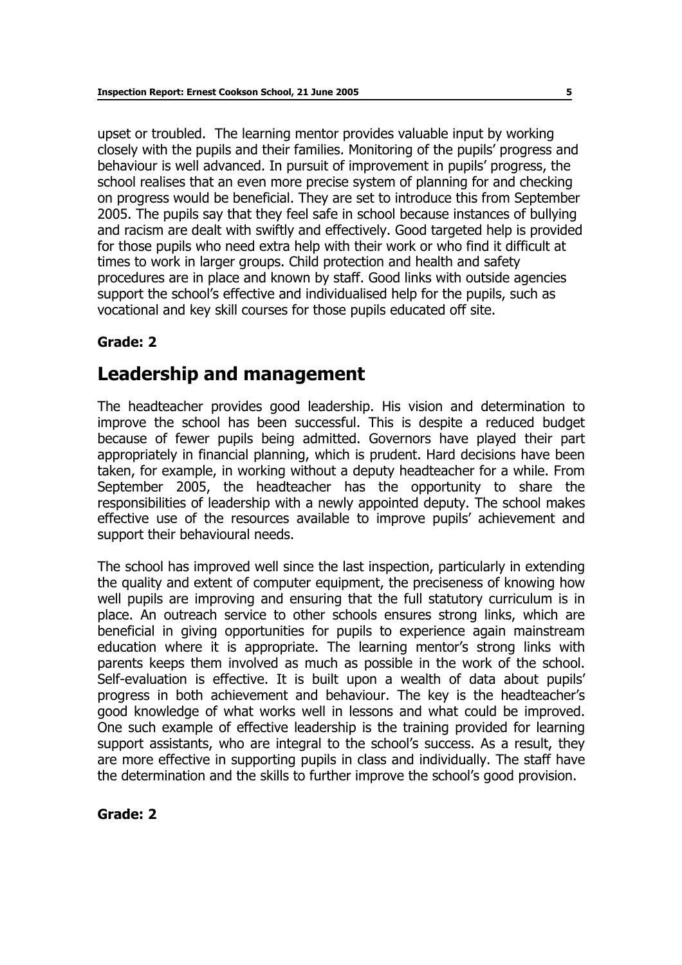upset or troubled. The learning mentor provides valuable input by working closely with the pupils and their families. Monitoring of the pupils' progress and behaviour is well advanced. In pursuit of improvement in pupils' progress, the school realises that an even more precise system of planning for and checking on progress would be beneficial. They are set to introduce this from September 2005. The pupils say that they feel safe in school because instances of bullying and racism are dealt with swiftly and effectively. Good targeted help is provided for those pupils who need extra help with their work or who find it difficult at times to work in larger groups. Child protection and health and safety procedures are in place and known by staff. Good links with outside agencies support the school's effective and individualised help for the pupils, such as vocational and key skill courses for those pupils educated off site.

# **Grade: 2**

# **Leadership and management**

The headteacher provides good leadership. His vision and determination to improve the school has been successful. This is despite a reduced budget because of fewer pupils being admitted. Governors have played their part appropriately in financial planning, which is prudent. Hard decisions have been taken, for example, in working without a deputy headteacher for a while. From September 2005, the headteacher has the opportunity to share the responsibilities of leadership with a newly appointed deputy. The school makes effective use of the resources available to improve pupils' achievement and support their behavioural needs.

The school has improved well since the last inspection, particularly in extending the quality and extent of computer equipment, the preciseness of knowing how well pupils are improving and ensuring that the full statutory curriculum is in place. An outreach service to other schools ensures strong links, which are beneficial in giving opportunities for pupils to experience again mainstream education where it is appropriate. The learning mentor's strong links with parents keeps them involved as much as possible in the work of the school. Self-evaluation is effective. It is built upon a wealth of data about pupils' progress in both achievement and behaviour. The key is the headteacher's good knowledge of what works well in lessons and what could be improved. One such example of effective leadership is the training provided for learning support assistants, who are integral to the school's success. As a result, they are more effective in supporting pupils in class and individually. The staff have the determination and the skills to further improve the school's good provision.

# **Grade: 2**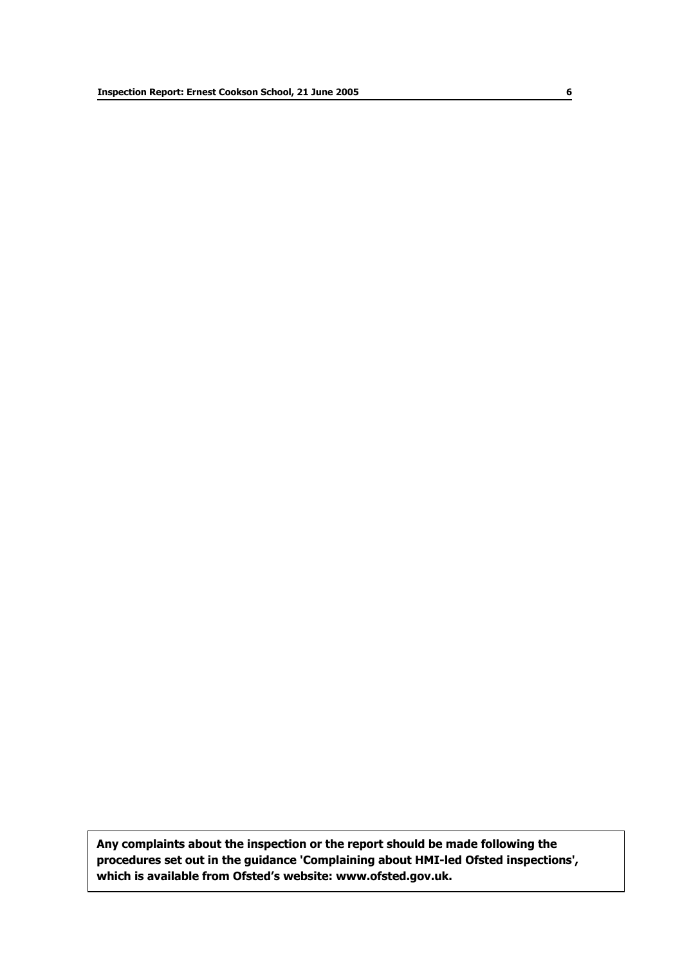**Any complaints about the inspection or the report should be made following the procedures set out in the guidance 'Complaining about HMI-led Ofsted inspections', which is available from Ofstedís website: www.ofsted.gov.uk.**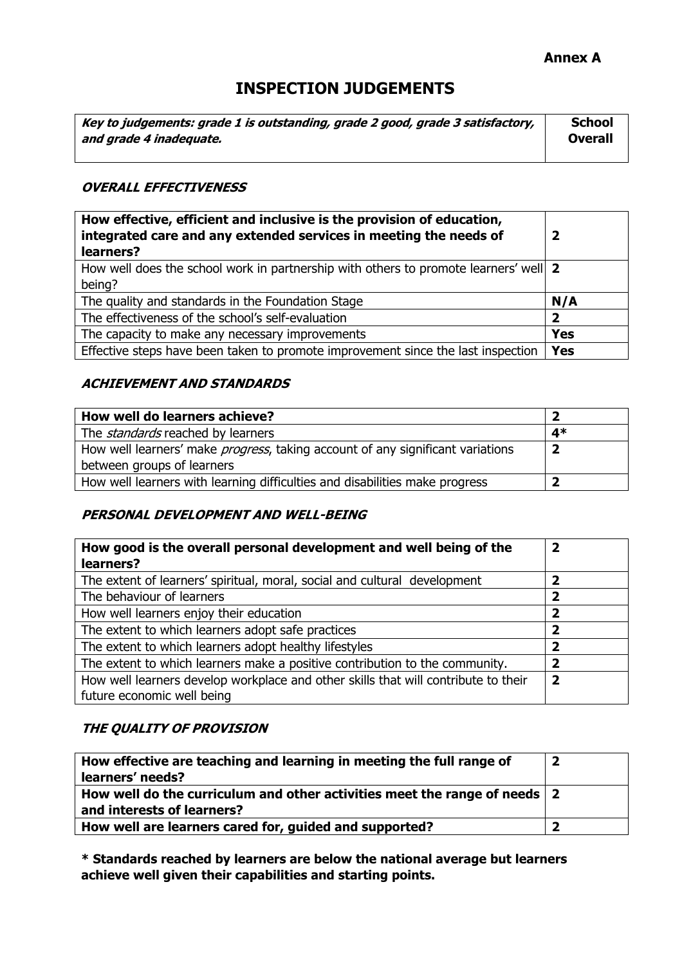## **Annex A**

# **INSPECTION JUDGEMENTS**

| Key to judgements: grade 1 is outstanding, grade 2 good, grade 3 satisfactory, | <b>School</b>  |
|--------------------------------------------------------------------------------|----------------|
| and grade 4 inadequate.                                                        | <b>Overall</b> |
|                                                                                |                |

## **OVERALL EFFECTIVENESS**

| How effective, efficient and inclusive is the provision of education,<br>integrated care and any extended services in meeting the needs of<br>learners? |            |
|---------------------------------------------------------------------------------------------------------------------------------------------------------|------------|
| How well does the school work in partnership with others to promote learners' well   2                                                                  |            |
| being?                                                                                                                                                  |            |
| The quality and standards in the Foundation Stage                                                                                                       | N/A        |
| The effectiveness of the school's self-evaluation                                                                                                       | 2          |
| The capacity to make any necessary improvements                                                                                                         | <b>Yes</b> |
| Effective steps have been taken to promote improvement since the last inspection                                                                        | <b>Yes</b> |

## **ACHIEVEMENT AND STANDARDS**

| How well do learners achieve?                                                          |      |
|----------------------------------------------------------------------------------------|------|
| The <i>standards</i> reached by learners                                               | $4*$ |
| How well learners' make <i>progress</i> , taking account of any significant variations |      |
| between groups of learners                                                             |      |
| How well learners with learning difficulties and disabilities make progress            |      |

# **PERSONAL DEVELOPMENT AND WELL-BEING**

| How good is the overall personal development and well being of the<br>learners?    | $\overline{\mathbf{2}}$ |
|------------------------------------------------------------------------------------|-------------------------|
| The extent of learners' spiritual, moral, social and cultural development          | $\overline{\mathbf{z}}$ |
| The behaviour of learners                                                          | 2                       |
| How well learners enjoy their education                                            | 2                       |
| The extent to which learners adopt safe practices                                  | $\overline{\mathbf{2}}$ |
| The extent to which learners adopt healthy lifestyles                              | 7                       |
| The extent to which learners make a positive contribution to the community.        | 2                       |
| How well learners develop workplace and other skills that will contribute to their | 2                       |
| future economic well being                                                         |                         |

#### **THE QUALITY OF PROVISION**

| How effective are teaching and learning in meeting the full range of<br>learners' needs?                        |  |
|-----------------------------------------------------------------------------------------------------------------|--|
| How well do the curriculum and other activities meet the range of needs $\vert$ 2<br>and interests of learners? |  |
|                                                                                                                 |  |
| How well are learners cared for, guided and supported?                                                          |  |

**\* Standards reached by learners are below the national average but learners achieve well given their capabilities and starting points.**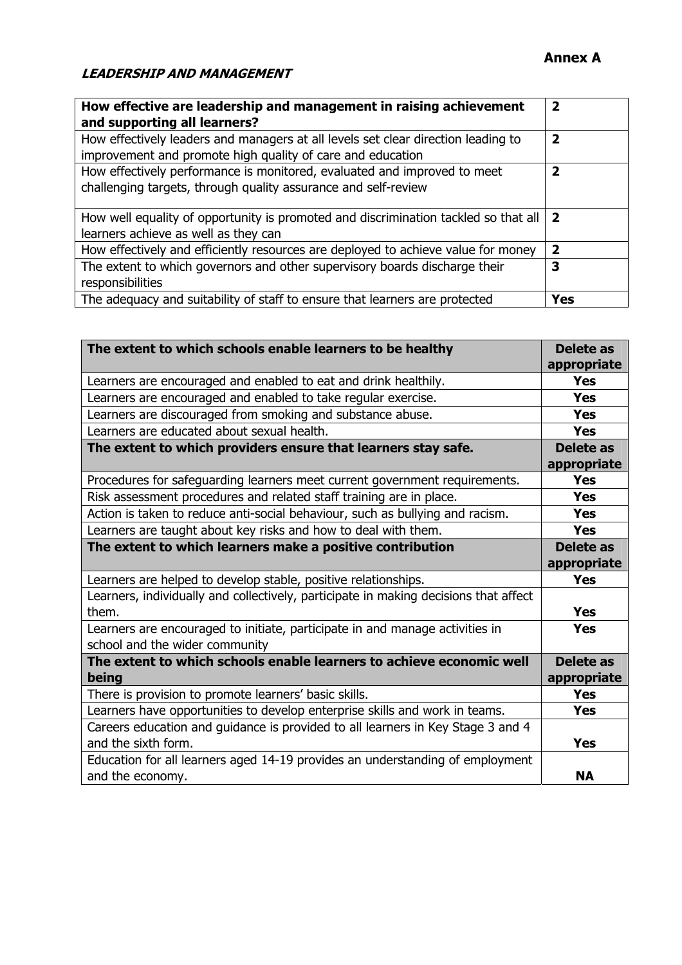| How effective are leadership and management in raising achievement<br>and supporting all learners?                                              | 2                       |
|-------------------------------------------------------------------------------------------------------------------------------------------------|-------------------------|
| How effectively leaders and managers at all levels set clear direction leading to<br>improvement and promote high quality of care and education | 2                       |
| How effectively performance is monitored, evaluated and improved to meet<br>challenging targets, through quality assurance and self-review      | $\overline{\mathbf{2}}$ |
| How well equality of opportunity is promoted and discrimination tackled so that all<br>learners achieve as well as they can                     | $\overline{\mathbf{2}}$ |
| How effectively and efficiently resources are deployed to achieve value for money                                                               | 2                       |
| The extent to which governors and other supervisory boards discharge their<br>responsibilities                                                  | 3                       |
| The adequacy and suitability of staff to ensure that learners are protected                                                                     | <b>Yes</b>              |

| The extent to which schools enable learners to be healthy                            | <b>Delete as</b> |
|--------------------------------------------------------------------------------------|------------------|
|                                                                                      | appropriate      |
| Learners are encouraged and enabled to eat and drink healthily.                      | <b>Yes</b>       |
| Learners are encouraged and enabled to take regular exercise.                        | <b>Yes</b>       |
| Learners are discouraged from smoking and substance abuse.                           | <b>Yes</b>       |
| Learners are educated about sexual health.                                           | <b>Yes</b>       |
| The extent to which providers ensure that learners stay safe.                        | Delete as        |
|                                                                                      | appropriate      |
| Procedures for safeguarding learners meet current government requirements.           | <b>Yes</b>       |
| Risk assessment procedures and related staff training are in place.                  | <b>Yes</b>       |
| Action is taken to reduce anti-social behaviour, such as bullying and racism.        | <b>Yes</b>       |
| Learners are taught about key risks and how to deal with them.                       | <b>Yes</b>       |
| The extent to which learners make a positive contribution                            | <b>Delete as</b> |
|                                                                                      | appropriate      |
| Learners are helped to develop stable, positive relationships.                       | <b>Yes</b>       |
| Learners, individually and collectively, participate in making decisions that affect |                  |
| them.                                                                                | <b>Yes</b>       |
| Learners are encouraged to initiate, participate in and manage activities in         | <b>Yes</b>       |
| school and the wider community                                                       |                  |
| The extent to which schools enable learners to achieve economic well                 | <b>Delete as</b> |
| being                                                                                | appropriate      |
| There is provision to promote learners' basic skills.                                | <b>Yes</b>       |
| Learners have opportunities to develop enterprise skills and work in teams.          | <b>Yes</b>       |
| Careers education and guidance is provided to all learners in Key Stage 3 and 4      |                  |
| and the sixth form.                                                                  | <b>Yes</b>       |
| Education for all learners aged 14-19 provides an understanding of employment        |                  |
| and the economy.                                                                     | <b>NA</b>        |